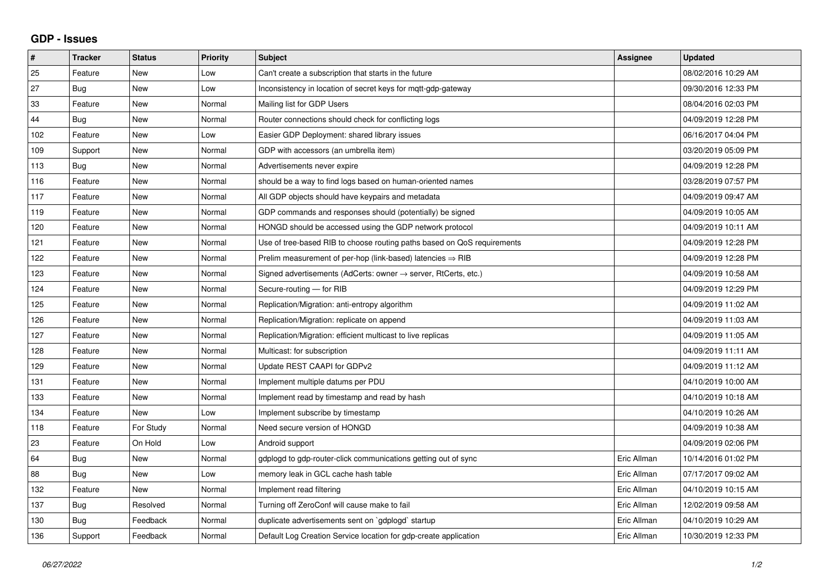## **GDP - Issues**

| #   | <b>Tracker</b> | <b>Status</b> | <b>Priority</b> | <b>Subject</b>                                                          | Assignee    | <b>Updated</b>      |
|-----|----------------|---------------|-----------------|-------------------------------------------------------------------------|-------------|---------------------|
| 25  | Feature        | New           | Low             | Can't create a subscription that starts in the future                   |             | 08/02/2016 10:29 AM |
| 27  | Bug            | <b>New</b>    | Low             | Inconsistency in location of secret keys for mqtt-gdp-gateway           |             | 09/30/2016 12:33 PM |
| 33  | Feature        | <b>New</b>    | Normal          | Mailing list for GDP Users                                              |             | 08/04/2016 02:03 PM |
| 44  | Bug            | <b>New</b>    | Normal          | Router connections should check for conflicting logs                    |             | 04/09/2019 12:28 PM |
| 102 | Feature        | <b>New</b>    | Low             | Easier GDP Deployment: shared library issues                            |             | 06/16/2017 04:04 PM |
| 109 | Support        | <b>New</b>    | Normal          | GDP with accessors (an umbrella item)                                   |             | 03/20/2019 05:09 PM |
| 113 | Bug            | <b>New</b>    | Normal          | Advertisements never expire                                             |             | 04/09/2019 12:28 PM |
| 116 | Feature        | New           | Normal          | should be a way to find logs based on human-oriented names              |             | 03/28/2019 07:57 PM |
| 117 | Feature        | <b>New</b>    | Normal          | All GDP objects should have keypairs and metadata                       |             | 04/09/2019 09:47 AM |
| 119 | Feature        | <b>New</b>    | Normal          | GDP commands and responses should (potentially) be signed               |             | 04/09/2019 10:05 AM |
| 120 | Feature        | <b>New</b>    | Normal          | HONGD should be accessed using the GDP network protocol                 |             | 04/09/2019 10:11 AM |
| 121 | Feature        | <b>New</b>    | Normal          | Use of tree-based RIB to choose routing paths based on QoS requirements |             | 04/09/2019 12:28 PM |
| 122 | Feature        | <b>New</b>    | Normal          | Prelim measurement of per-hop (link-based) latencies $\Rightarrow$ RIB  |             | 04/09/2019 12:28 PM |
| 123 | Feature        | <b>New</b>    | Normal          | Signed advertisements (AdCerts: owner → server, RtCerts, etc.)          |             | 04/09/2019 10:58 AM |
| 124 | Feature        | <b>New</b>    | Normal          | Secure-routing - for RIB                                                |             | 04/09/2019 12:29 PM |
| 125 | Feature        | <b>New</b>    | Normal          | Replication/Migration: anti-entropy algorithm                           |             | 04/09/2019 11:02 AM |
| 126 | Feature        | <b>New</b>    | Normal          | Replication/Migration: replicate on append                              |             | 04/09/2019 11:03 AM |
| 127 | Feature        | <b>New</b>    | Normal          | Replication/Migration: efficient multicast to live replicas             |             | 04/09/2019 11:05 AM |
| 128 | Feature        | <b>New</b>    | Normal          | Multicast: for subscription                                             |             | 04/09/2019 11:11 AM |
| 129 | Feature        | <b>New</b>    | Normal          | Update REST CAAPI for GDPv2                                             |             | 04/09/2019 11:12 AM |
| 131 | Feature        | <b>New</b>    | Normal          | Implement multiple datums per PDU                                       |             | 04/10/2019 10:00 AM |
| 133 | Feature        | <b>New</b>    | Normal          | Implement read by timestamp and read by hash                            |             | 04/10/2019 10:18 AM |
| 134 | Feature        | <b>New</b>    | Low             | Implement subscribe by timestamp                                        |             | 04/10/2019 10:26 AM |
| 118 | Feature        | For Study     | Normal          | Need secure version of HONGD                                            |             | 04/09/2019 10:38 AM |
| 23  | Feature        | On Hold       | Low             | Android support                                                         |             | 04/09/2019 02:06 PM |
| 64  | Bug            | <b>New</b>    | Normal          | gdplogd to gdp-router-click communications getting out of sync          | Eric Allman | 10/14/2016 01:02 PM |
| 88  | Bug            | New           | Low             | memory leak in GCL cache hash table                                     | Eric Allman | 07/17/2017 09:02 AM |
| 132 | Feature        | <b>New</b>    | Normal          | Implement read filtering                                                | Eric Allman | 04/10/2019 10:15 AM |
| 137 | Bug            | Resolved      | Normal          | Turning off ZeroConf will cause make to fail                            | Eric Allman | 12/02/2019 09:58 AM |
| 130 | <b>Bug</b>     | Feedback      | Normal          | duplicate advertisements sent on `gdplogd` startup                      | Eric Allman | 04/10/2019 10:29 AM |
| 136 | Support        | Feedback      | Normal          | Default Log Creation Service location for gdp-create application        | Eric Allman | 10/30/2019 12:33 PM |